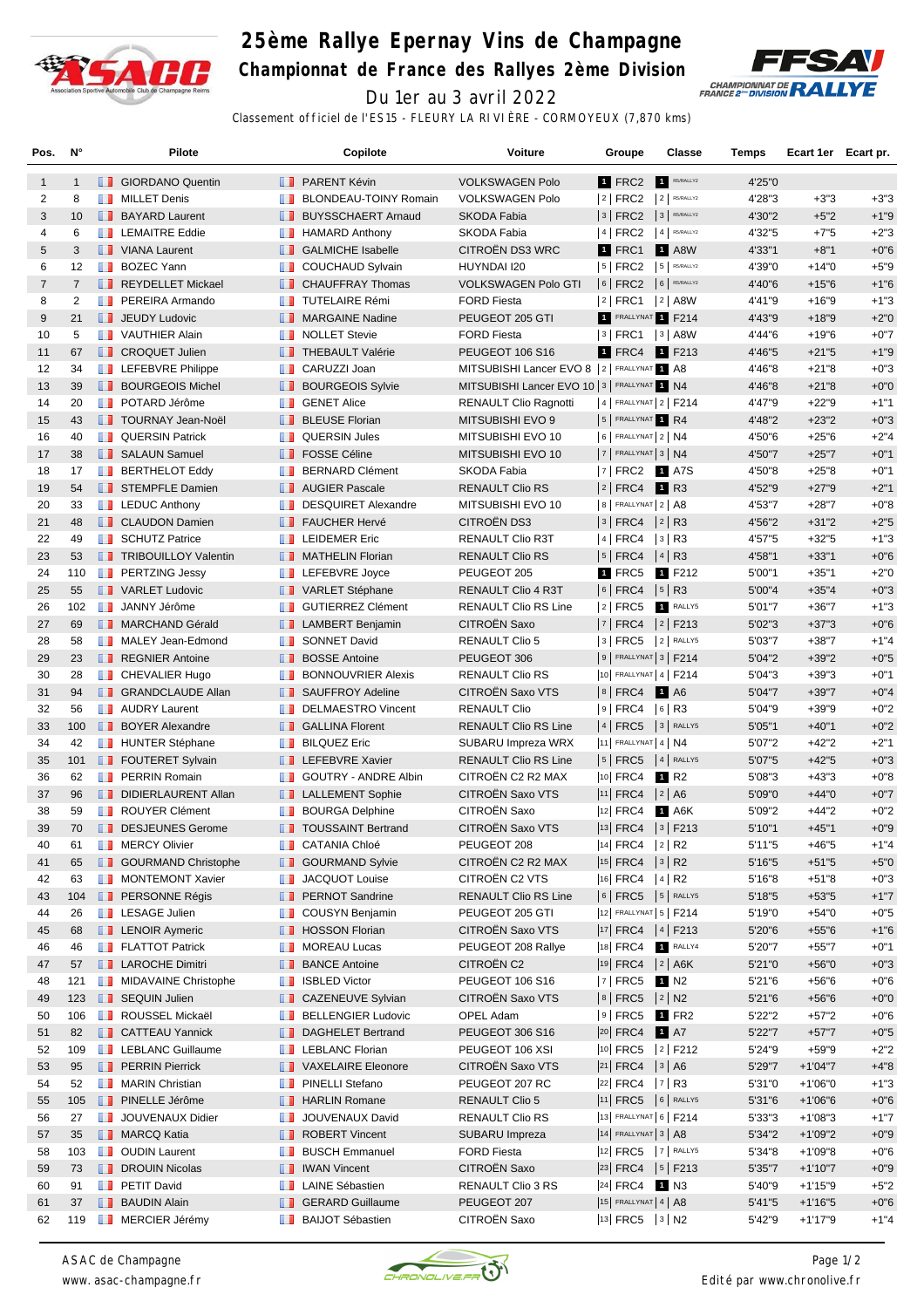

## **25ème Rallye Epernay Vins de Champagne**

**Championnat de France des Rallyes 2ème Division**



Du 1er au 3 avril 2022 Classement officiel de l'ES15 - FLEURY LA RIVIÈRE - CORMOYEUX (7,870 kms)

| Pos.           | N°             |     | <b>Pilote</b>                     |                   | Copilote                       | Voiture                                           | Groupe                     | <b>Classe</b>    | Temps  | Ecart 1er Ecart pr. |        |
|----------------|----------------|-----|-----------------------------------|-------------------|--------------------------------|---------------------------------------------------|----------------------------|------------------|--------|---------------------|--------|
| $\mathbf{1}$   | $\mathbf{1}$   |     | <b>B</b> GIORDANO Quentin         |                   | <b>B</b> PARENT Kévin          | <b>VOLKSWAGEN Polo</b>                            | 1 FRC2                     | R5/RALLY2        | 4'25"0 |                     |        |
| 2              | 8              | ш   | <b>MILLET Denis</b>               | ш                 | BLONDEAU-TOINY Romain          | <b>VOLKSWAGEN Polo</b>                            | $ 2 $ FRC2                 | $2$ R5/RALLY2    | 4'28"3 | $+3"3$              | $+3"3$ |
| 3              | 10             |     | <b>BAYARD Laurent</b>             |                   | <b>BUYSSCHAERT Arnaud</b>      | <b>SKODA Fabia</b>                                | 3 FRC2 3 R5/RALLY2         |                  | 4'30"2 | $+5"2$              | $+1"9$ |
| 4              | 6              |     | <b>EXECUTE Eddie</b>              | m                 | <b>HAMARD Anthony</b>          | <b>SKODA Fabia</b>                                | 4   FRC2   4   R5/RALLY2   |                  | 4'32"5 | $+7"5$              | $+2"3$ |
| 5              | 3              |     | <b>T</b> VIANA Laurent            |                   | <b>B</b> GALMICHE Isabelle     | CITROËN DS3 WRC                                   | <b>1</b> FRC1              | <b>1</b> A8W     | 4'33"1 | $+8"1$              | $+0"6$ |
| 6              | 12             |     | <b>BOZEC Yann</b>                 |                   | <b>T</b> COUCHAUD Sylvain      | HUYNDAI I20                                       | $ 5 $ FRC2 $ 5 $ R5/RALLY2 |                  | 4'39"0 | $+14"0$             | $+5"9$ |
| $\overline{7}$ | $\overline{7}$ |     | REYDELLET Mickael                 |                   | <b>CHAUFFRAY Thomas</b>        | <b>VOLKSWAGEN Polo GTI</b>                        | 6 FRC2 6 R5/RALLY2         |                  | 4'40"6 | $+15"6$             | $+1"6$ |
| 8              | $\overline{2}$ | ш   | PEREIRA Armando                   | ш                 | <b>TUTELAIRE Rémi</b>          | <b>FORD Fiesta</b>                                | $ 2 $ FRC1                 | $ 2 $ A8W        | 4'41"9 | $+16"9$             | $+1"3$ |
| 9              | 21             |     | <b>I</b> JEUDY Ludovic            |                   | <b>NARGAINE Nadine</b>         | PEUGEOT 205 GTI                                   | 1 FRALLYNAT 1 F214         |                  | 4'43"9 | $+18"9$             | $+2"0$ |
| 10             | 5              |     | <b>T</b> VAUTHIER Alain           | w                 | <b>NOLLET Stevie</b>           | <b>FORD Fiesta</b>                                | $ 3 $ FRC1 $ 3 $ A8W       |                  | 4'44"6 | $+19"6$             | $+0"7$ |
| 11             | 67             |     | <b>T</b> CROQUET Julien           |                   | <b>THEBAULT Valérie</b>        | <b>PEUGEOT 106 S16</b>                            | 1 FRC4                     | 1 F213           | 4'46"5 | $+21"5$             | $+1"9$ |
| 12             | 34             |     | <b>Exp</b> LEFEBVRE Philippe      |                   | <b>CARUZZI Joan</b>            | MITSUBISHI Lancer EVO 8   2   FRALLYNAT 1 A8      |                            |                  | 4'46"8 | $+21"8$             | $+0"3$ |
| 13             | 39             |     | <b>BOURGEOIS Michel</b>           | <b>IL 11</b>      | <b>BOURGEOIS Sylvie</b>        | MITSUBISHI Lancer EVO 10   3   FRALLYNAT 1 N4     |                            |                  | 4'46"8 | $+21"8$             | $+0"0$ |
| 14             | 20             | m   | POTARD Jérôme                     | ш                 | <b>GENET Alice</b>             | <b>RENAULT Clio Ragnotti</b>                      | 4   FRALLYNAT 2   F214     |                  | 4'47"9 | $+22"9$             | $+1"1$ |
| 15             | 43             |     | <b>TOURNAY Jean-Noël</b>          |                   | <b>BLEUSE Florian</b>          | MITSUBISHI EVO 9                                  | 5 FRALLYNAT R4             |                  | 4'48"2 | $+23"2$             | $+0"3$ |
| 16             | 40             | ш   | <b>QUERSIN Patrick</b>            | w                 | <b>QUERSIN Jules</b>           | MITSUBISHI EVO 10                                 | $6$ FRALLYNAT $2$ N4       |                  | 4'50"6 | $+25"6$             | $+2"4$ |
| 17             | 38             |     | <b>SALAUN Samuel</b>              |                   | <b>FOSSE Céline</b>            | MITSUBISHI EVO 10                                 | $ 7 $ FRALLYNAT $ 3 N4$    |                  | 4'50"7 | $+25"7$             | $+0"1$ |
| 18             | 17             |     | <b>BERTHELOT Eddy</b>             | m                 | <b>BERNARD Clément</b>         | SKODA Fabia                                       | $ 7 $ FRC2 1 A7S           |                  | 4'50"8 | $+25"8$             | $+0"1$ |
| 19             | 54             |     | STEMPFLE Damien                   |                   | <b>NET</b> AUGIER Pascale      | <b>RENAULT Clio RS</b>                            | 2   FRC4                   | <b>1</b> R3      | 4'52"9 | $+27"9$             | $+2"1$ |
| 20             | 33             |     | $\blacksquare$ LEDUC Anthony      | <b>THE R</b>      | <b>DESQUIRET Alexandre</b>     | MITSUBISHI EVO 10                                 | 8 FRALLYNAT 2 A8           |                  | 4'53"7 | $+28"7$             | $+0"8$ |
| 21             | 48             |     | <b>CLAUDON Damien</b>             |                   | <b>T</b> FAUCHER Hervé         | <b>CITROËN DS3</b>                                | $ 3 $ FRC4 $ 2 $ R3        |                  | 4'56"2 | $+31"2$             | $+2"5$ |
| 22             | 49             |     | <b>SCHUTZ Patrice</b>             | w                 | <b>LEIDEMER Eric</b>           | RENAULT Clio R3T                                  | $ 4 $ FRC4 $ 3 $ R3        |                  | 4'57"5 | $+32"5$             | $+1"3$ |
| 23             | 53             |     | <b>TRIBOUILLOY Valentin</b>       |                   | <b>NATHELIN Florian</b>        | <b>RENAULT Clio RS</b>                            | $ 5 $ FRC4 $ 4 $ R3        |                  | 4'58"1 | $+33"1$             | $+0"6$ |
| 24             | 110            |     | <b>FRITZING Jessy</b>             | <b>TELEVISION</b> | LEFEBVRE Joyce                 | PEUGEOT 205                                       | 1 FRC5                     | 1 F212           | 5'00"1 | $+35"1$             | $+2"0$ |
| 25             | 55             |     | <b>NEW VARLET Ludovic</b>         |                   | VARLET Stéphane                |                                                   | $ 6 $ FRC4                 | $ 5 $ R3         | 5'00"4 |                     | $+0"3$ |
| 26             | 102            |     | <b>JANNY Jérôme</b>               |                   | <b>B</b> GUTIERREZ Clément     | RENAULT Clio 4 R3T<br><b>RENAULT Clio RS Line</b> | $ 2 $ FRC5                 | RALLY5           | 5'01"7 | $+35"4$<br>$+36"7$  | $+1"3$ |
|                | 69             |     |                                   |                   |                                | CITROËN Saxo                                      | 7   FRC4   2   F213        |                  |        |                     |        |
| 27             |                |     | <b>NARCHAND Gérald</b>            |                   | <b>LAMBERT Benjamin</b>        |                                                   | $ 3 $ FRC5 $ 2 $ RALLY5    |                  | 5'02"3 | $+37"3$             | $+0"6$ |
| 28             | 58             |     | MALEY Jean-Edmond                 |                   | <b>B</b> SONNET David          | <b>RENAULT Clio 5</b>                             |                            |                  | 5'03"7 | $+38"7$             | $+1"4$ |
| 29             | 23             |     | <b>REGNIER Antoine</b>            |                   | <b>BOSSE Antoine</b>           | PEUGEOT 306                                       | $ 9 $ FRALLYNAT $ 3 $ F214 |                  | 5'04"2 | $+39"2$             | $+0"5$ |
| 30             | 28             |     | <b>T</b> CHEVALIER Hugo           | m                 | <b>BONNOUVRIER Alexis</b>      | <b>RENAULT Clio RS</b>                            | 10 FRALLYNAT 4   F214      |                  | 5'04"3 | $+39"3$             | $+0"1$ |
| 31             | 94             |     | <b>B</b> GRANDCLAUDE Allan        |                   | <b>B</b> SAUFFROY Adeline      | CITROËN Saxo VTS                                  | $ 8 $ FRC4                 | <b>1</b> A6      | 5'04"7 | $+39"7$             | $+0"4$ |
| 32             | 56             |     | <b>B</b> AUDRY Laurent            |                   | <b>DELMAESTRO Vincent</b>      | <b>RENAULT Clio</b>                               | $ 9 $ FRC4 $ 6 $ R3        |                  | 5'04"9 | $+39"9$             | $+0"2$ |
| 33             | 100            |     | <b>BOYER Alexandre</b>            |                   | <b>B</b> GALLINA Florent       | <b>RENAULT Clio RS Line</b>                       | 4   FRC5   3   RALLY5      |                  | 5'05"1 | $+40"1$             | $+0"2$ |
| 34             | 42             |     | <b>HUNTER Stéphane</b>            | ш                 | <b>BILQUEZ Eric</b>            | SUBARU Impreza WRX                                | 11 FRALLYNAT 4   $N4$      |                  | 5'07"2 | $+42"2$             | $+2"1$ |
| 35             | 101            |     | <b>FOUTERET Sylvain</b>           |                   | <b>EXAMPLE FEBVRE Xavier</b>   | <b>RENAULT Clio RS Line</b>                       | $ 5 $ FRC5 $ 4 $ RALLYS    |                  | 5'07"5 | $+42"5$             | $+0"3$ |
| 36             | 62             | m   | <b>PERRIN Romain</b>              | w                 | <b>GOUTRY - ANDRE Albin</b>    | CITROËN C2 R2 MAX                                 | 10 FRC4                    | 1 R <sub>2</sub> | 5'08"3 | $+43"3$             | $+0"8$ |
| 37             | 96             |     | DIDIERLAURENT Allan               |                   | <b>LE</b> LALLEMENT Sophie     | CITROËN Saxo VTS                                  | $ 11 $ FRC4 $ 2 $ A6       |                  | 5'09"0 | $+44"0$             | $+0"7$ |
| 38             | 59             |     | <b>B</b> ROUYER Clément           | m                 | <b>BOURGA Delphine</b>         | CITROËN Saxo                                      | $ 12 $ FRC4 1 A6K          |                  | 5'09"2 | $+44"2$             | $+0"2$ |
| 39             | 70             |     | DESJEUNES Gerome                  |                   | <b>TOUSSAINT Bertrand</b>      | CITROËN Saxo VTS                                  | $ 13 $ FRC4 $ 3 $ F213     |                  | 5'10"1 | $+45"1$             | $+0"9$ |
| 40             | 61             |     | <b>NERCY Olivier</b>              | l I               | <b>CATANIA Chloé</b>           | PEUGEOT 208                                       | 14  FRC4  2  R2            |                  | 5'11"5 | +46"5               | $+1"4$ |
| 41             | 65             |     | <b>SOURMAND Christophe</b>        |                   | <b>B</b> GOURMAND Sylvie       | CITROËN C2 R2 MAX                                 | $ 15 $ FRC4 $ 3 $ R2       |                  | 5'16"5 | $+51"5$             | $+5"0$ |
| 42             | 63             | ш   | <b>MONTEMONT Xavier</b>           | ш                 | <b>JACQUOT Louise</b>          | CITROËN C2 VTS                                    | $ 16 $ FRC4 $ 4 $ R2       |                  | 5'16"8 | $+51"8$             | $+0"3$ |
| 43             | 104            |     | <b>FERSONNE Régis</b>             |                   | <b>PERNOT Sandrine</b>         | <b>RENAULT Clio RS Line</b>                       | $ 6 $ FRC5 $ 5 $ RALLY5    |                  | 5'18"5 | $+53"5$             | $+1"7$ |
| 44             | 26             |     | <b>LESAGE Julien</b>              |                   | <b>COUSYN Benjamin</b>         | PEUGEOT 205 GTI                                   | 12 FRALLYNAT 5   F214      |                  | 5'19"0 | $+54"0$             | $+0"5$ |
| 45             | 68             |     | <b>EXP</b> LENOIR Aymeric         |                   | <b>B</b> HOSSON Florian        | CITROËN Saxo VTS                                  | $ 17 $ FRC4 $ 4 $ F213     |                  | 5'20"6 | $+55"6$             | $+1"6$ |
| 46             | 46             |     | <b>FLATTOT Patrick</b>            |                   | <b>NOREAU Lucas</b>            | PEUGEOT 208 Rallye                                | $ 18 $ FRC4                | 1 RALLY4         | 5'20"7 | $+55"7$             | $+0"1$ |
| 47             | 57             |     | <b>LAROCHE Dimitri</b>            | ш                 | <b>BANCE Antoine</b>           | CITROËN C2                                        | $ 19 $ FRC4 $ 2 $ A6K      |                  | 5'21"0 | $+56"0$             | $+0"3$ |
| 48             | 121            |     | MIDAVAINE Christophe              | ш                 | <b>ISBLED Victor</b>           | PEUGEOT 106 S16                                   | 7   FRC5                   | 1 N2             | 5'21"6 | +56"6               | $+0"6$ |
| 49             | 123            |     | <b>SEQUIN Julien</b>              |                   | <b>CAZENEUVE Sylvian</b>       | CITROËN Saxo VTS                                  | $ 8 $ FRC5 $ 2 $ N2        |                  | 5'21"6 | $+56"6$             | $+0"0$ |
| 50             | 106            | n n | ROUSSEL Mickaël                   | w                 | <b>BELLENGIER Ludovic</b>      | OPEL Adam                                         | $ 9 $ FRC5 1 FR2           |                  | 5'22"2 | $+57"2$             | $+0"6$ |
| 51             | 82             |     | <b>CATTEAU Yannick</b>            | ш.                | <b>DAGHELET Bertrand</b>       | PEUGEOT 306 S16                                   | $ 20 $ FRC4                | <b>1</b> A7      | 5'22"7 | $+57"7$             | $+0"5$ |
| 52             | 109            |     | <b>EXECUTE:</b> LEBLANC Guillaume |                   | <b>EXECUTE LEBLANC Florian</b> | PEUGEOT 106 XSI                                   | 10 FRC5                    | $ 2 $ F212       | 5'24"9 | $+59"9$             | $+2"2$ |
| 53             | 95             |     | <b>FRAIN Pierrick</b>             |                   | VAXELAIRE Eleonore             | CITROËN Saxo VTS                                  | $ 21 $ FRC4 $ 3 $ A6       |                  | 5'29"7 | $+1'04"7$           | $+4"8$ |
| 54             | 52             |     | <b>B</b> MARIN Christian          | ш                 | PINELLI Stefano                | PEUGEOT 207 RC                                    | $ 22 $ FRC4 $ 7 $ R3       |                  | 5'31"0 | $+1'06"0$           | $+1"3$ |
| 55             | 105            |     | <b>PINELLE Jérôme</b>             |                   | <b>B</b> HARLIN Romane         | <b>RENAULT Clio 5</b>                             | 11 FRC5 6 RALLY5           |                  | 5'31"6 | $+1'06"6$           | $+0"6$ |
| 56             | 27             | u u | JOUVENAUX Didier                  | w                 | JOUVENAUX David                | RENAULT Clio RS                                   | 13 FRALLYNAT 6   F214      |                  | 5'33"3 | $+1'08"3$           | $+1"7$ |
| 57             | 35             |     | <b>I</b> MARCQ Katia              |                   | ROBERT Vincent                 | SUBARU Impreza                                    | $ 14 $ FRALLYNAT $ 3 AB$   |                  | 5'34"2 | $+1'09"2$           | $+0"9$ |
| 58             | 103            |     | <b>D</b> OUDIN Laurent            | ш                 | <b>BUSCH Emmanuel</b>          | <b>FORD Fiesta</b>                                | 12 FRC5 7 RALLY5           |                  | 5'34"8 | $+1'09"8$           | $+0"6$ |
| 59             | 73             |     | <b>DROUIN Nicolas</b>             |                   | <b>NEW IWAN Vincent</b>        | CITROËN Saxo                                      | 23 FRC4   5   F213         |                  | 5'35"7 | $+1'10"7$           | $+0"9$ |
| 60             | 91             |     | <b>F</b> PETIT David              | m                 | <b>LAINE Sébastien</b>         | RENAULT Clio 3 RS                                 | 24 FRC4 1 N3               |                  | 5'40"9 | $+1'15"9$           | $+5"2$ |
| 61             | 37             |     | <b>BAUDIN Alain</b>               |                   | <b>B</b> GERARD Guillaume      | PEUGEOT 207                                       | $ 15 $ FRALLYNAT 4   A8    |                  | 5'41"5 | $+1'16"5$           | $+0"6$ |
| 62             | 119            |     | <b>NERCIER Jérémy</b>             | <b>II</b>         | <b>BAIJOT Sébastien</b>        | CITROËN Saxo                                      | $ 13 $ FRC5 $ 3 $ N2       |                  | 5'42"9 | +1'17"9             | $+1"4$ |